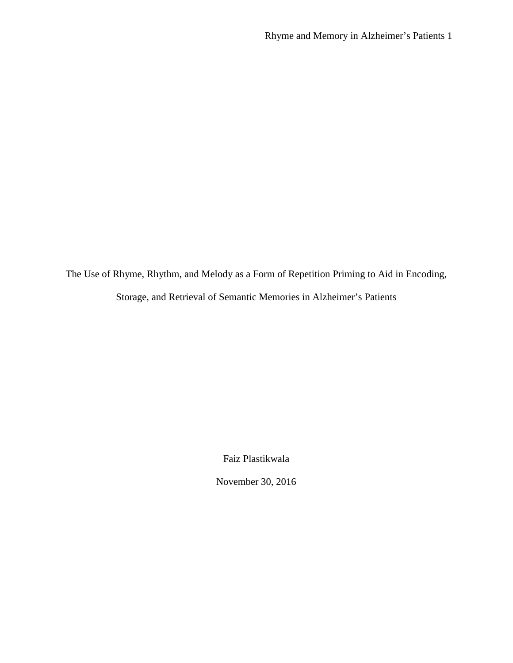The Use of Rhyme, Rhythm, and Melody as a Form of Repetition Priming to Aid in Encoding, Storage, and Retrieval of Semantic Memories in Alzheimer's Patients

Faiz Plastikwala

November 30, 2016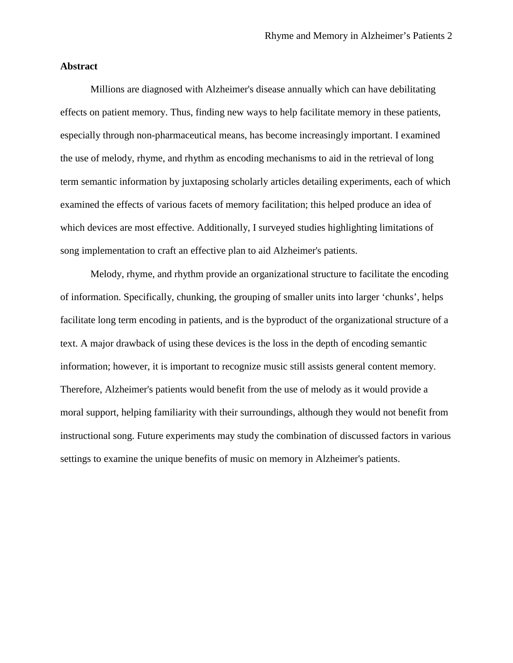# **Abstract**

Millions are diagnosed with Alzheimer's disease annually which can have debilitating effects on patient memory. Thus, finding new ways to help facilitate memory in these patients, especially through non-pharmaceutical means, has become increasingly important. I examined the use of melody, rhyme, and rhythm as encoding mechanisms to aid in the retrieval of long term semantic information by juxtaposing scholarly articles detailing experiments, each of which examined the effects of various facets of memory facilitation; this helped produce an idea of which devices are most effective. Additionally, I surveyed studies highlighting limitations of song implementation to craft an effective plan to aid Alzheimer's patients.

Melody, rhyme, and rhythm provide an organizational structure to facilitate the encoding of information. Specifically, chunking, the grouping of smaller units into larger 'chunks', helps facilitate long term encoding in patients, and is the byproduct of the organizational structure of a text. A major drawback of using these devices is the loss in the depth of encoding semantic information; however, it is important to recognize music still assists general content memory. Therefore, Alzheimer's patients would benefit from the use of melody as it would provide a moral support, helping familiarity with their surroundings, although they would not benefit from instructional song. Future experiments may study the combination of discussed factors in various settings to examine the unique benefits of music on memory in Alzheimer's patients.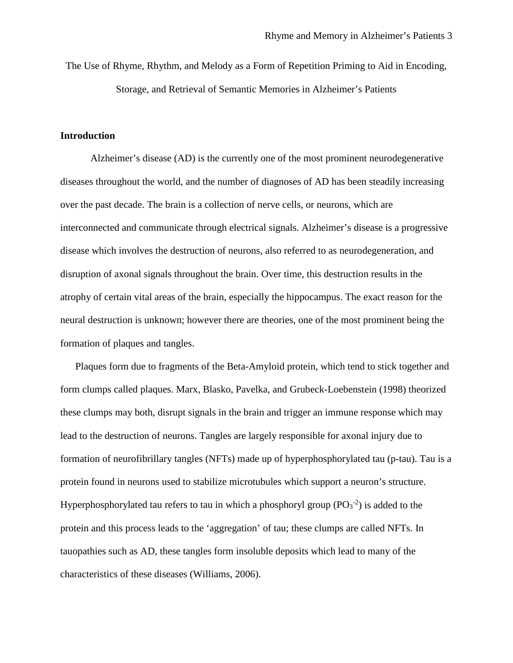The Use of Rhyme, Rhythm, and Melody as a Form of Repetition Priming to Aid in Encoding, Storage, and Retrieval of Semantic Memories in Alzheimer's Patients

### **Introduction**

Alzheimer's disease (AD) is the currently one of the most prominent neurodegenerative diseases throughout the world, and the number of diagnoses of AD has been steadily increasing over the past decade. The brain is a collection of nerve cells, or neurons, which are interconnected and communicate through electrical signals. Alzheimer's disease is a progressive disease which involves the destruction of neurons, also referred to as neurodegeneration, and disruption of axonal signals throughout the brain. Over time, this destruction results in the atrophy of certain vital areas of the brain, especially the hippocampus. The exact reason for the neural destruction is unknown; however there are theories, one of the most prominent being the formation of plaques and tangles.

Plaques form due to fragments of the Beta-Amyloid protein, which tend to stick together and form clumps called plaques. Marx, Blasko, Pavelka, and Grubeck-Loebenstein (1998) theorized these clumps may both, disrupt signals in the brain and trigger an immune response which may lead to the destruction of neurons. Tangles are largely responsible for axonal injury due to formation of neurofibrillary tangles (NFTs) made up of hyperphosphorylated tau (p-tau). Tau is a protein found in neurons used to stabilize microtubules which support a neuron's structure. Hyperphosphorylated tau refers to tau in which a phosphoryl group  $(PO_3^{-2})$  is added to the protein and this process leads to the 'aggregation' of tau; these clumps are called NFTs. In tauopathies such as AD, these tangles form insoluble deposits which lead to many of the characteristics of these diseases (Williams, 2006).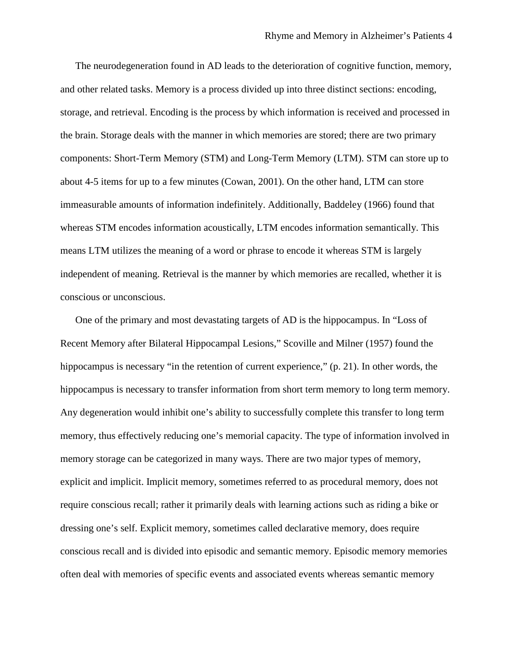The neurodegeneration found in AD leads to the deterioration of cognitive function, memory, and other related tasks. Memory is a process divided up into three distinct sections: encoding, storage, and retrieval. Encoding is the process by which information is received and processed in the brain. Storage deals with the manner in which memories are stored; there are two primary components: Short-Term Memory (STM) and Long-Term Memory (LTM). STM can store up to about 4-5 items for up to a few minutes (Cowan, 2001). On the other hand, LTM can store immeasurable amounts of information indefinitely. Additionally, Baddeley (1966) found that whereas STM encodes information acoustically, LTM encodes information semantically. This means LTM utilizes the meaning of a word or phrase to encode it whereas STM is largely independent of meaning. Retrieval is the manner by which memories are recalled, whether it is conscious or unconscious.

One of the primary and most devastating targets of AD is the hippocampus. In "Loss of Recent Memory after Bilateral Hippocampal Lesions," Scoville and Milner (1957) found the hippocampus is necessary "in the retention of current experience," (p. 21). In other words, the hippocampus is necessary to transfer information from short term memory to long term memory. Any degeneration would inhibit one's ability to successfully complete this transfer to long term memory, thus effectively reducing one's memorial capacity. The type of information involved in memory storage can be categorized in many ways. There are two major types of memory, explicit and implicit. Implicit memory, sometimes referred to as procedural memory, does not require conscious recall; rather it primarily deals with learning actions such as riding a bike or dressing one's self. Explicit memory, sometimes called declarative memory, does require conscious recall and is divided into episodic and semantic memory. Episodic memory memories often deal with memories of specific events and associated events whereas semantic memory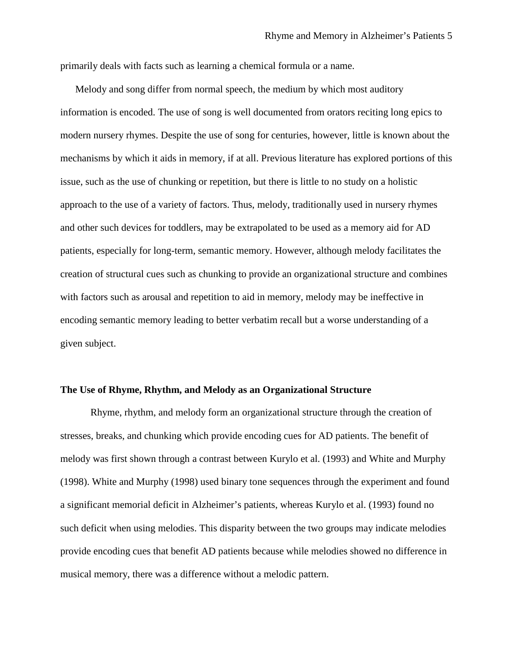primarily deals with facts such as learning a chemical formula or a name.

Melody and song differ from normal speech, the medium by which most auditory information is encoded. The use of song is well documented from orators reciting long epics to modern nursery rhymes. Despite the use of song for centuries, however, little is known about the mechanisms by which it aids in memory, if at all. Previous literature has explored portions of this issue, such as the use of chunking or repetition, but there is little to no study on a holistic approach to the use of a variety of factors. Thus, melody, traditionally used in nursery rhymes and other such devices for toddlers, may be extrapolated to be used as a memory aid for AD patients, especially for long-term, semantic memory. However, although melody facilitates the creation of structural cues such as chunking to provide an organizational structure and combines with factors such as arousal and repetition to aid in memory, melody may be ineffective in encoding semantic memory leading to better verbatim recall but a worse understanding of a given subject.

#### **The Use of Rhyme, Rhythm, and Melody as an Organizational Structure**

Rhyme, rhythm, and melody form an organizational structure through the creation of stresses, breaks, and chunking which provide encoding cues for AD patients. The benefit of melody was first shown through a contrast between Kurylo et al. (1993) and White and Murphy (1998). White and Murphy (1998) used binary tone sequences through the experiment and found a significant memorial deficit in Alzheimer's patients, whereas Kurylo et al. (1993) found no such deficit when using melodies. This disparity between the two groups may indicate melodies provide encoding cues that benefit AD patients because while melodies showed no difference in musical memory, there was a difference without a melodic pattern.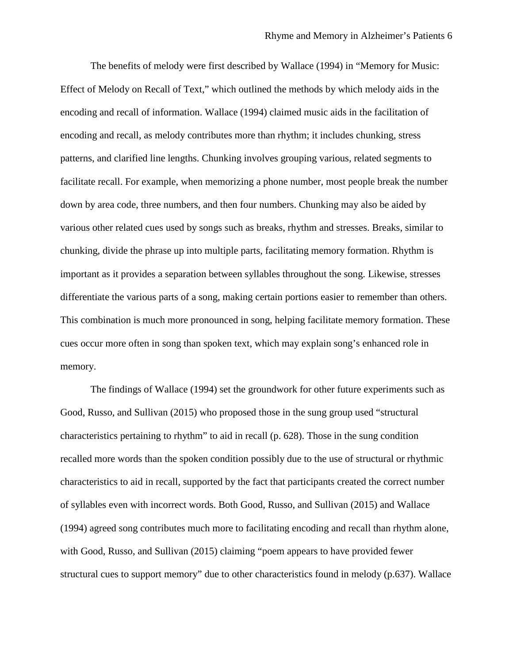The benefits of melody were first described by Wallace (1994) in "Memory for Music: Effect of Melody on Recall of Text," which outlined the methods by which melody aids in the encoding and recall of information. Wallace (1994) claimed music aids in the facilitation of encoding and recall, as melody contributes more than rhythm; it includes chunking, stress patterns, and clarified line lengths. Chunking involves grouping various, related segments to facilitate recall. For example, when memorizing a phone number, most people break the number down by area code, three numbers, and then four numbers. Chunking may also be aided by various other related cues used by songs such as breaks, rhythm and stresses. Breaks, similar to chunking, divide the phrase up into multiple parts, facilitating memory formation. Rhythm is important as it provides a separation between syllables throughout the song. Likewise, stresses differentiate the various parts of a song, making certain portions easier to remember than others. This combination is much more pronounced in song, helping facilitate memory formation. These cues occur more often in song than spoken text, which may explain song's enhanced role in memory.

The findings of Wallace (1994) set the groundwork for other future experiments such as Good, Russo, and Sullivan (2015) who proposed those in the sung group used "structural characteristics pertaining to rhythm" to aid in recall (p. 628). Those in the sung condition recalled more words than the spoken condition possibly due to the use of structural or rhythmic characteristics to aid in recall, supported by the fact that participants created the correct number of syllables even with incorrect words. Both Good, Russo, and Sullivan (2015) and Wallace (1994) agreed song contributes much more to facilitating encoding and recall than rhythm alone, with Good, Russo, and Sullivan (2015) claiming "poem appears to have provided fewer structural cues to support memory" due to other characteristics found in melody (p.637). Wallace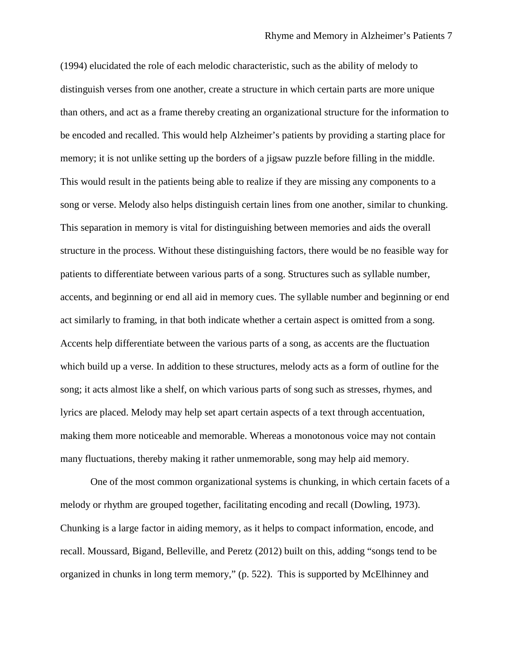(1994) elucidated the role of each melodic characteristic, such as the ability of melody to distinguish verses from one another, create a structure in which certain parts are more unique than others, and act as a frame thereby creating an organizational structure for the information to be encoded and recalled. This would help Alzheimer's patients by providing a starting place for memory; it is not unlike setting up the borders of a jigsaw puzzle before filling in the middle. This would result in the patients being able to realize if they are missing any components to a song or verse. Melody also helps distinguish certain lines from one another, similar to chunking. This separation in memory is vital for distinguishing between memories and aids the overall structure in the process. Without these distinguishing factors, there would be no feasible way for patients to differentiate between various parts of a song. Structures such as syllable number, accents, and beginning or end all aid in memory cues. The syllable number and beginning or end act similarly to framing, in that both indicate whether a certain aspect is omitted from a song. Accents help differentiate between the various parts of a song, as accents are the fluctuation which build up a verse. In addition to these structures, melody acts as a form of outline for the song; it acts almost like a shelf, on which various parts of song such as stresses, rhymes, and lyrics are placed. Melody may help set apart certain aspects of a text through accentuation, making them more noticeable and memorable. Whereas a monotonous voice may not contain many fluctuations, thereby making it rather unmemorable, song may help aid memory.

One of the most common organizational systems is chunking, in which certain facets of a melody or rhythm are grouped together, facilitating encoding and recall (Dowling, 1973). Chunking is a large factor in aiding memory, as it helps to compact information, encode, and recall. Moussard, Bigand, Belleville, and Peretz (2012) built on this, adding "songs tend to be organized in chunks in long term memory," (p. 522). This is supported by McElhinney and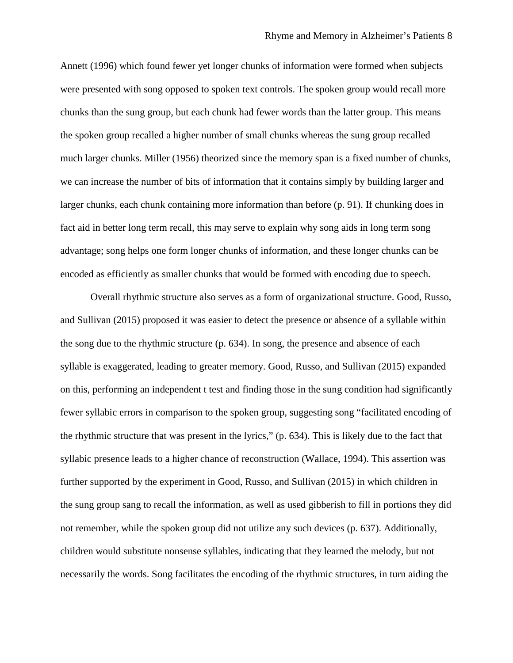Annett (1996) which found fewer yet longer chunks of information were formed when subjects were presented with song opposed to spoken text controls. The spoken group would recall more chunks than the sung group, but each chunk had fewer words than the latter group. This means the spoken group recalled a higher number of small chunks whereas the sung group recalled much larger chunks. Miller (1956) theorized since the memory span is a fixed number of chunks, we can increase the number of bits of information that it contains simply by building larger and larger chunks, each chunk containing more information than before (p. 91). If chunking does in fact aid in better long term recall, this may serve to explain why song aids in long term song advantage; song helps one form longer chunks of information, and these longer chunks can be encoded as efficiently as smaller chunks that would be formed with encoding due to speech.

Overall rhythmic structure also serves as a form of organizational structure. Good, Russo, and Sullivan (2015) proposed it was easier to detect the presence or absence of a syllable within the song due to the rhythmic structure (p. 634). In song, the presence and absence of each syllable is exaggerated, leading to greater memory. Good, Russo, and Sullivan (2015) expanded on this, performing an independent t test and finding those in the sung condition had significantly fewer syllabic errors in comparison to the spoken group, suggesting song "facilitated encoding of the rhythmic structure that was present in the lyrics," (p. 634). This is likely due to the fact that syllabic presence leads to a higher chance of reconstruction (Wallace, 1994). This assertion was further supported by the experiment in Good, Russo, and Sullivan (2015) in which children in the sung group sang to recall the information, as well as used gibberish to fill in portions they did not remember, while the spoken group did not utilize any such devices (p. 637). Additionally, children would substitute nonsense syllables, indicating that they learned the melody, but not necessarily the words. Song facilitates the encoding of the rhythmic structures, in turn aiding the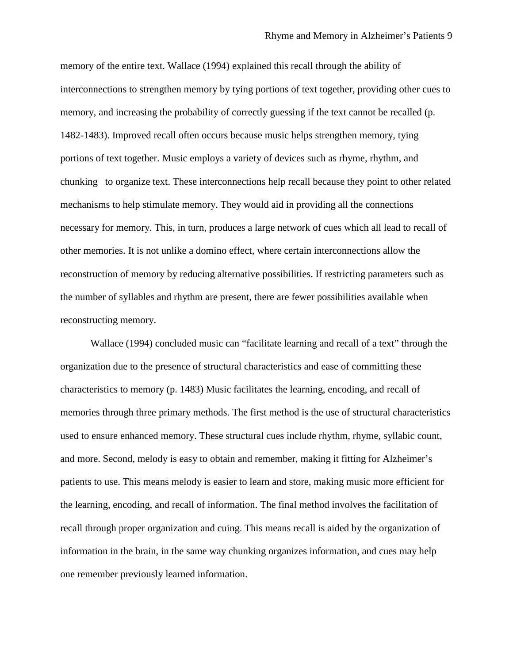memory of the entire text. Wallace (1994) explained this recall through the ability of interconnections to strengthen memory by tying portions of text together, providing other cues to memory, and increasing the probability of correctly guessing if the text cannot be recalled (p. 1482-1483). Improved recall often occurs because music helps strengthen memory, tying portions of text together. Music employs a variety of devices such as rhyme, rhythm, and chunking to organize text. These interconnections help recall because they point to other related mechanisms to help stimulate memory. They would aid in providing all the connections necessary for memory. This, in turn, produces a large network of cues which all lead to recall of other memories. It is not unlike a domino effect, where certain interconnections allow the reconstruction of memory by reducing alternative possibilities. If restricting parameters such as the number of syllables and rhythm are present, there are fewer possibilities available when reconstructing memory.

Wallace (1994) concluded music can "facilitate learning and recall of a text" through the organization due to the presence of structural characteristics and ease of committing these characteristics to memory (p. 1483) Music facilitates the learning, encoding, and recall of memories through three primary methods. The first method is the use of structural characteristics used to ensure enhanced memory. These structural cues include rhythm, rhyme, syllabic count, and more. Second, melody is easy to obtain and remember, making it fitting for Alzheimer's patients to use. This means melody is easier to learn and store, making music more efficient for the learning, encoding, and recall of information. The final method involves the facilitation of recall through proper organization and cuing. This means recall is aided by the organization of information in the brain, in the same way chunking organizes information, and cues may help one remember previously learned information.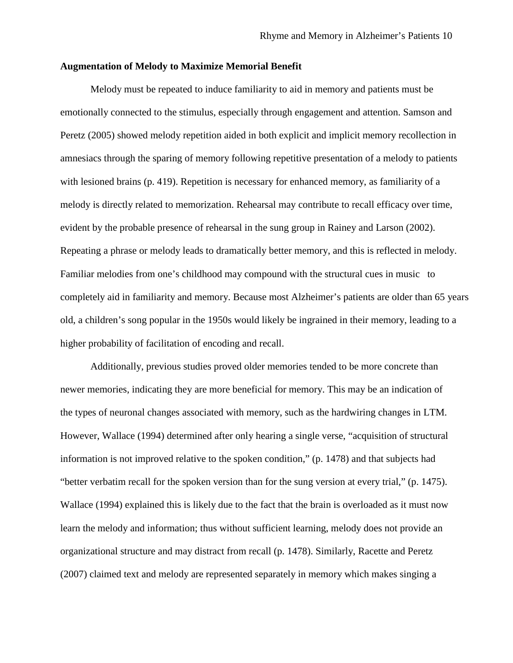## **Augmentation of Melody to Maximize Memorial Benefit**

Melody must be repeated to induce familiarity to aid in memory and patients must be emotionally connected to the stimulus, especially through engagement and attention. Samson and Peretz (2005) showed melody repetition aided in both explicit and implicit memory recollection in amnesiacs through the sparing of memory following repetitive presentation of a melody to patients with lesioned brains (p. 419). Repetition is necessary for enhanced memory, as familiarity of a melody is directly related to memorization. Rehearsal may contribute to recall efficacy over time, evident by the probable presence of rehearsal in the sung group in Rainey and Larson (2002). Repeating a phrase or melody leads to dramatically better memory, and this is reflected in melody. Familiar melodies from one's childhood may compound with the structural cues in music to completely aid in familiarity and memory. Because most Alzheimer's patients are older than 65 years old, a children's song popular in the 1950s would likely be ingrained in their memory, leading to a higher probability of facilitation of encoding and recall.

Additionally, previous studies proved older memories tended to be more concrete than newer memories, indicating they are more beneficial for memory. This may be an indication of the types of neuronal changes associated with memory, such as the hardwiring changes in LTM. However, Wallace (1994) determined after only hearing a single verse, "acquisition of structural information is not improved relative to the spoken condition," (p. 1478) and that subjects had "better verbatim recall for the spoken version than for the sung version at every trial," (p. 1475). Wallace (1994) explained this is likely due to the fact that the brain is overloaded as it must now learn the melody and information; thus without sufficient learning, melody does not provide an organizational structure and may distract from recall (p. 1478). Similarly, Racette and Peretz (2007) claimed text and melody are represented separately in memory which makes singing a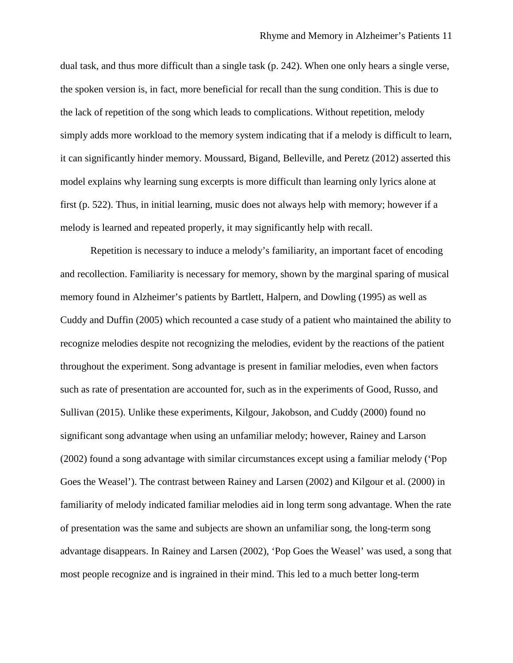dual task, and thus more difficult than a single task (p. 242). When one only hears a single verse, the spoken version is, in fact, more beneficial for recall than the sung condition. This is due to the lack of repetition of the song which leads to complications. Without repetition, melody simply adds more workload to the memory system indicating that if a melody is difficult to learn, it can significantly hinder memory. Moussard, Bigand, Belleville, and Peretz (2012) asserted this model explains why learning sung excerpts is more difficult than learning only lyrics alone at first (p. 522). Thus, in initial learning, music does not always help with memory; however if a melody is learned and repeated properly, it may significantly help with recall.

Repetition is necessary to induce a melody's familiarity, an important facet of encoding and recollection. Familiarity is necessary for memory, shown by the marginal sparing of musical memory found in Alzheimer's patients by Bartlett, Halpern, and Dowling (1995) as well as Cuddy and Duffin (2005) which recounted a case study of a patient who maintained the ability to recognize melodies despite not recognizing the melodies, evident by the reactions of the patient throughout the experiment. Song advantage is present in familiar melodies, even when factors such as rate of presentation are accounted for, such as in the experiments of Good, Russo, and Sullivan (2015). Unlike these experiments, Kilgour, Jakobson, and Cuddy (2000) found no significant song advantage when using an unfamiliar melody; however, Rainey and Larson (2002) found a song advantage with similar circumstances except using a familiar melody ('Pop Goes the Weasel'). The contrast between Rainey and Larsen (2002) and Kilgour et al. (2000) in familiarity of melody indicated familiar melodies aid in long term song advantage. When the rate of presentation was the same and subjects are shown an unfamiliar song, the long-term song advantage disappears. In Rainey and Larsen (2002), 'Pop Goes the Weasel' was used, a song that most people recognize and is ingrained in their mind. This led to a much better long-term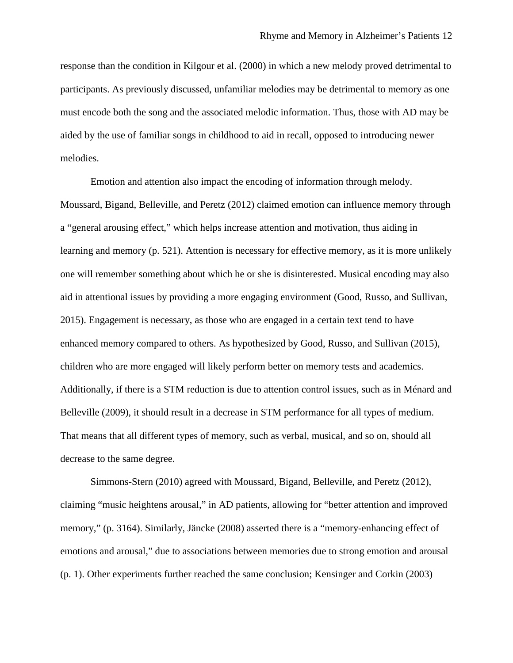response than the condition in Kilgour et al. (2000) in which a new melody proved detrimental to participants. As previously discussed, unfamiliar melodies may be detrimental to memory as one must encode both the song and the associated melodic information. Thus, those with AD may be aided by the use of familiar songs in childhood to aid in recall, opposed to introducing newer melodies.

Emotion and attention also impact the encoding of information through melody. Moussard, Bigand, Belleville, and Peretz (2012) claimed emotion can influence memory through a "general arousing effect," which helps increase attention and motivation, thus aiding in learning and memory (p. 521). Attention is necessary for effective memory, as it is more unlikely one will remember something about which he or she is disinterested. Musical encoding may also aid in attentional issues by providing a more engaging environment (Good, Russo, and Sullivan, 2015). Engagement is necessary, as those who are engaged in a certain text tend to have enhanced memory compared to others. As hypothesized by Good, Russo, and Sullivan (2015), children who are more engaged will likely perform better on memory tests and academics. Additionally, if there is a STM reduction is due to attention control issues, such as in Ménard and Belleville (2009), it should result in a decrease in STM performance for all types of medium. That means that all different types of memory, such as verbal, musical, and so on, should all decrease to the same degree.

Simmons-Stern (2010) agreed with Moussard, Bigand, Belleville, and Peretz (2012), claiming "music heightens arousal," in AD patients, allowing for "better attention and improved memory," (p. 3164). Similarly, Jäncke (2008) asserted there is a "memory-enhancing effect of emotions and arousal," due to associations between memories due to strong emotion and arousal (p. 1). Other experiments further reached the same conclusion; Kensinger and Corkin (2003)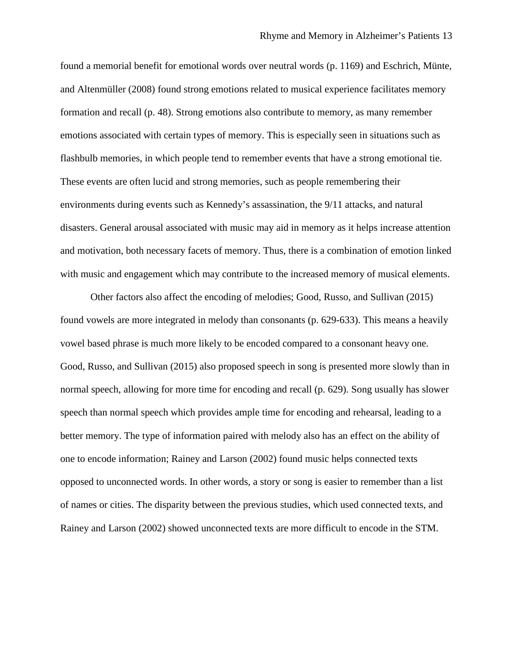found a memorial benefit for emotional words over neutral words (p. 1169) and Eschrich, Münte, and Altenmüller (2008) found strong emotions related to musical experience facilitates memory formation and recall (p. 48). Strong emotions also contribute to memory, as many remember emotions associated with certain types of memory. This is especially seen in situations such as flashbulb memories, in which people tend to remember events that have a strong emotional tie. These events are often lucid and strong memories, such as people remembering their environments during events such as Kennedy's assassination, the 9/11 attacks, and natural disasters. General arousal associated with music may aid in memory as it helps increase attention and motivation, both necessary facets of memory. Thus, there is a combination of emotion linked with music and engagement which may contribute to the increased memory of musical elements.

Other factors also affect the encoding of melodies; Good, Russo, and Sullivan (2015) found vowels are more integrated in melody than consonants (p. 629-633). This means a heavily vowel based phrase is much more likely to be encoded compared to a consonant heavy one. Good, Russo, and Sullivan (2015) also proposed speech in song is presented more slowly than in normal speech, allowing for more time for encoding and recall (p. 629). Song usually has slower speech than normal speech which provides ample time for encoding and rehearsal, leading to a better memory. The type of information paired with melody also has an effect on the ability of one to encode information; Rainey and Larson (2002) found music helps connected texts opposed to unconnected words. In other words, a story or song is easier to remember than a list of names or cities. The disparity between the previous studies, which used connected texts, and Rainey and Larson (2002) showed unconnected texts are more difficult to encode in the STM.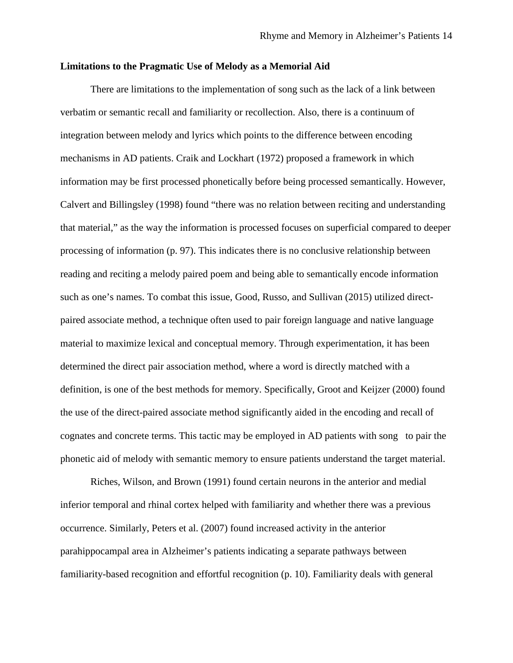## **Limitations to the Pragmatic Use of Melody as a Memorial Aid**

There are limitations to the implementation of song such as the lack of a link between verbatim or semantic recall and familiarity or recollection. Also, there is a continuum of integration between melody and lyrics which points to the difference between encoding mechanisms in AD patients. Craik and Lockhart (1972) proposed a framework in which information may be first processed phonetically before being processed semantically. However, Calvert and Billingsley (1998) found "there was no relation between reciting and understanding that material," as the way the information is processed focuses on superficial compared to deeper processing of information (p. 97). This indicates there is no conclusive relationship between reading and reciting a melody paired poem and being able to semantically encode information such as one's names. To combat this issue, Good, Russo, and Sullivan (2015) utilized directpaired associate method, a technique often used to pair foreign language and native language material to maximize lexical and conceptual memory. Through experimentation, it has been determined the direct pair association method, where a word is directly matched with a definition, is one of the best methods for memory. Specifically, Groot and Keijzer (2000) found the use of the direct-paired associate method significantly aided in the encoding and recall of cognates and concrete terms. This tactic may be employed in AD patients with song to pair the phonetic aid of melody with semantic memory to ensure patients understand the target material.

Riches, Wilson, and Brown (1991) found certain neurons in the anterior and medial inferior temporal and rhinal cortex helped with familiarity and whether there was a previous occurrence. Similarly, Peters et al. (2007) found increased activity in the anterior parahippocampal area in Alzheimer's patients indicating a separate pathways between familiarity-based recognition and effortful recognition (p. 10). Familiarity deals with general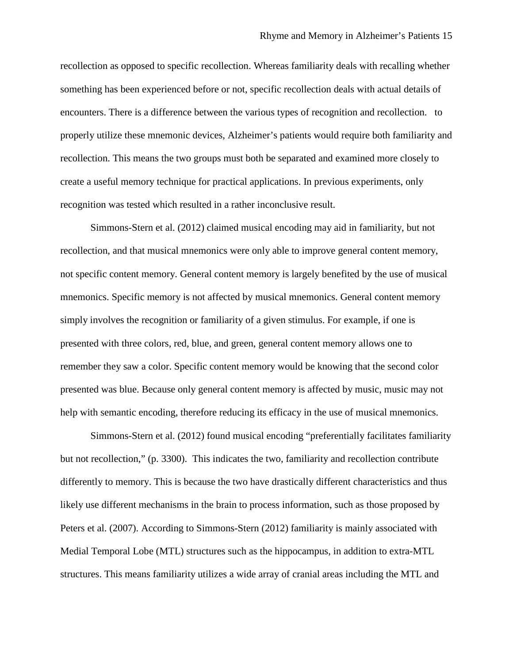recollection as opposed to specific recollection. Whereas familiarity deals with recalling whether something has been experienced before or not, specific recollection deals with actual details of encounters. There is a difference between the various types of recognition and recollection. to properly utilize these mnemonic devices, Alzheimer's patients would require both familiarity and recollection. This means the two groups must both be separated and examined more closely to create a useful memory technique for practical applications. In previous experiments, only recognition was tested which resulted in a rather inconclusive result.

Simmons-Stern et al. (2012) claimed musical encoding may aid in familiarity, but not recollection, and that musical mnemonics were only able to improve general content memory, not specific content memory. General content memory is largely benefited by the use of musical mnemonics. Specific memory is not affected by musical mnemonics. General content memory simply involves the recognition or familiarity of a given stimulus. For example, if one is presented with three colors, red, blue, and green, general content memory allows one to remember they saw a color. Specific content memory would be knowing that the second color presented was blue. Because only general content memory is affected by music, music may not help with semantic encoding, therefore reducing its efficacy in the use of musical mnemonics.

Simmons-Stern et al. (2012) found musical encoding "preferentially facilitates familiarity but not recollection," (p. 3300). This indicates the two, familiarity and recollection contribute differently to memory. This is because the two have drastically different characteristics and thus likely use different mechanisms in the brain to process information, such as those proposed by Peters et al. (2007). According to Simmons-Stern (2012) familiarity is mainly associated with Medial Temporal Lobe (MTL) structures such as the hippocampus, in addition to extra-MTL structures. This means familiarity utilizes a wide array of cranial areas including the MTL and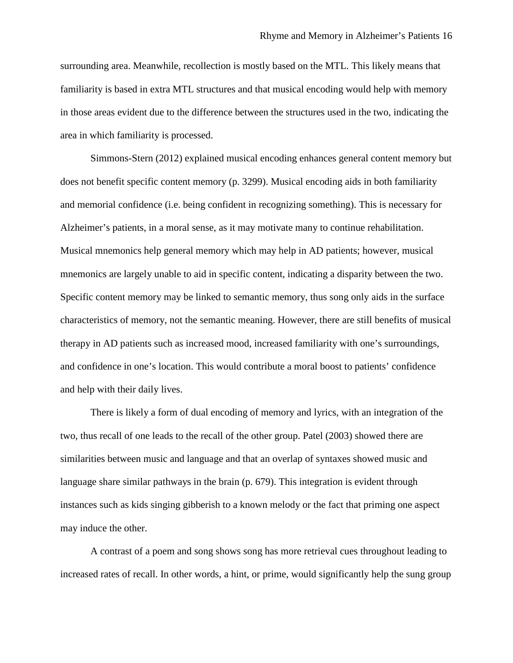surrounding area. Meanwhile, recollection is mostly based on the MTL. This likely means that familiarity is based in extra MTL structures and that musical encoding would help with memory in those areas evident due to the difference between the structures used in the two, indicating the area in which familiarity is processed.

Simmons-Stern (2012) explained musical encoding enhances general content memory but does not benefit specific content memory (p. 3299). Musical encoding aids in both familiarity and memorial confidence (i.e. being confident in recognizing something). This is necessary for Alzheimer's patients, in a moral sense, as it may motivate many to continue rehabilitation. Musical mnemonics help general memory which may help in AD patients; however, musical mnemonics are largely unable to aid in specific content, indicating a disparity between the two. Specific content memory may be linked to semantic memory, thus song only aids in the surface characteristics of memory, not the semantic meaning. However, there are still benefits of musical therapy in AD patients such as increased mood, increased familiarity with one's surroundings, and confidence in one's location. This would contribute a moral boost to patients' confidence and help with their daily lives.

There is likely a form of dual encoding of memory and lyrics, with an integration of the two, thus recall of one leads to the recall of the other group. Patel (2003) showed there are similarities between music and language and that an overlap of syntaxes showed music and language share similar pathways in the brain (p. 679). This integration is evident through instances such as kids singing gibberish to a known melody or the fact that priming one aspect may induce the other.

A contrast of a poem and song shows song has more retrieval cues throughout leading to increased rates of recall. In other words, a hint, or prime, would significantly help the sung group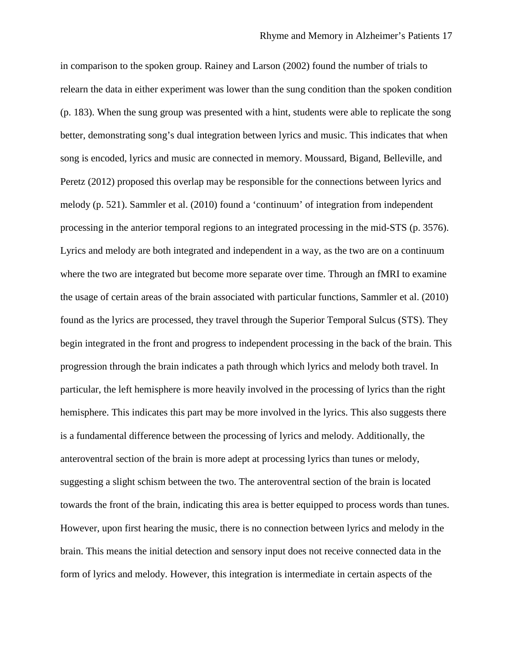in comparison to the spoken group. Rainey and Larson (2002) found the number of trials to relearn the data in either experiment was lower than the sung condition than the spoken condition (p. 183). When the sung group was presented with a hint, students were able to replicate the song better, demonstrating song's dual integration between lyrics and music. This indicates that when song is encoded, lyrics and music are connected in memory. Moussard, Bigand, Belleville, and Peretz (2012) proposed this overlap may be responsible for the connections between lyrics and melody (p. 521). Sammler et al. (2010) found a 'continuum' of integration from independent processing in the anterior temporal regions to an integrated processing in the mid-STS (p. 3576). Lyrics and melody are both integrated and independent in a way, as the two are on a continuum where the two are integrated but become more separate over time. Through an fMRI to examine the usage of certain areas of the brain associated with particular functions, Sammler et al. (2010) found as the lyrics are processed, they travel through the Superior Temporal Sulcus (STS). They begin integrated in the front and progress to independent processing in the back of the brain. This progression through the brain indicates a path through which lyrics and melody both travel. In particular, the left hemisphere is more heavily involved in the processing of lyrics than the right hemisphere. This indicates this part may be more involved in the lyrics. This also suggests there is a fundamental difference between the processing of lyrics and melody. Additionally, the anteroventral section of the brain is more adept at processing lyrics than tunes or melody, suggesting a slight schism between the two. The anteroventral section of the brain is located towards the front of the brain, indicating this area is better equipped to process words than tunes. However, upon first hearing the music, there is no connection between lyrics and melody in the brain. This means the initial detection and sensory input does not receive connected data in the form of lyrics and melody. However, this integration is intermediate in certain aspects of the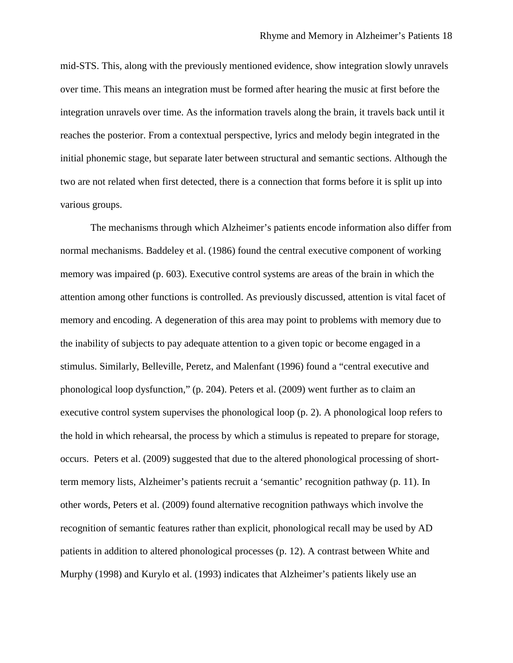mid-STS. This, along with the previously mentioned evidence, show integration slowly unravels over time. This means an integration must be formed after hearing the music at first before the integration unravels over time. As the information travels along the brain, it travels back until it reaches the posterior. From a contextual perspective, lyrics and melody begin integrated in the initial phonemic stage, but separate later between structural and semantic sections. Although the two are not related when first detected, there is a connection that forms before it is split up into various groups.

The mechanisms through which Alzheimer's patients encode information also differ from normal mechanisms. Baddeley et al. (1986) found the central executive component of working memory was impaired (p. 603). Executive control systems are areas of the brain in which the attention among other functions is controlled. As previously discussed, attention is vital facet of memory and encoding. A degeneration of this area may point to problems with memory due to the inability of subjects to pay adequate attention to a given topic or become engaged in a stimulus. Similarly, Belleville, Peretz, and Malenfant (1996) found a "central executive and phonological loop dysfunction," (p. 204). Peters et al. (2009) went further as to claim an executive control system supervises the phonological loop (p. 2). A phonological loop refers to the hold in which rehearsal, the process by which a stimulus is repeated to prepare for storage, occurs. Peters et al. (2009) suggested that due to the altered phonological processing of shortterm memory lists, Alzheimer's patients recruit a 'semantic' recognition pathway (p. 11). In other words, Peters et al. (2009) found alternative recognition pathways which involve the recognition of semantic features rather than explicit, phonological recall may be used by AD patients in addition to altered phonological processes (p. 12). A contrast between White and Murphy (1998) and Kurylo et al. (1993) indicates that Alzheimer's patients likely use an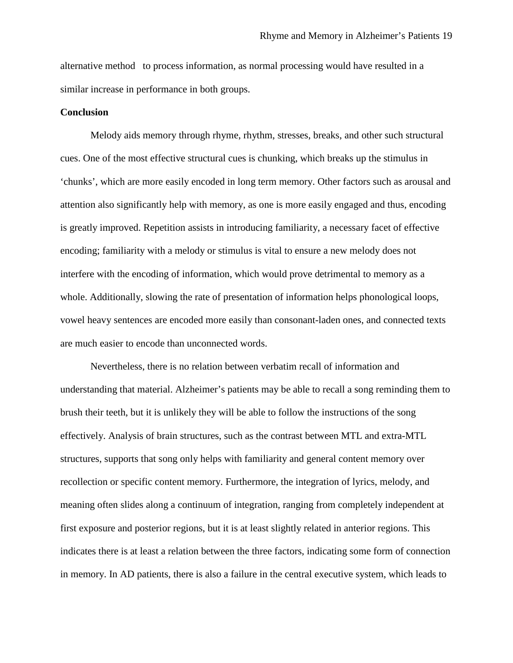alternative method to process information, as normal processing would have resulted in a similar increase in performance in both groups.

#### **Conclusion**

Melody aids memory through rhyme, rhythm, stresses, breaks, and other such structural cues. One of the most effective structural cues is chunking, which breaks up the stimulus in 'chunks', which are more easily encoded in long term memory. Other factors such as arousal and attention also significantly help with memory, as one is more easily engaged and thus, encoding is greatly improved. Repetition assists in introducing familiarity, a necessary facet of effective encoding; familiarity with a melody or stimulus is vital to ensure a new melody does not interfere with the encoding of information, which would prove detrimental to memory as a whole. Additionally, slowing the rate of presentation of information helps phonological loops, vowel heavy sentences are encoded more easily than consonant-laden ones, and connected texts are much easier to encode than unconnected words.

Nevertheless, there is no relation between verbatim recall of information and understanding that material. Alzheimer's patients may be able to recall a song reminding them to brush their teeth, but it is unlikely they will be able to follow the instructions of the song effectively. Analysis of brain structures, such as the contrast between MTL and extra-MTL structures, supports that song only helps with familiarity and general content memory over recollection or specific content memory. Furthermore, the integration of lyrics, melody, and meaning often slides along a continuum of integration, ranging from completely independent at first exposure and posterior regions, but it is at least slightly related in anterior regions. This indicates there is at least a relation between the three factors, indicating some form of connection in memory. In AD patients, there is also a failure in the central executive system, which leads to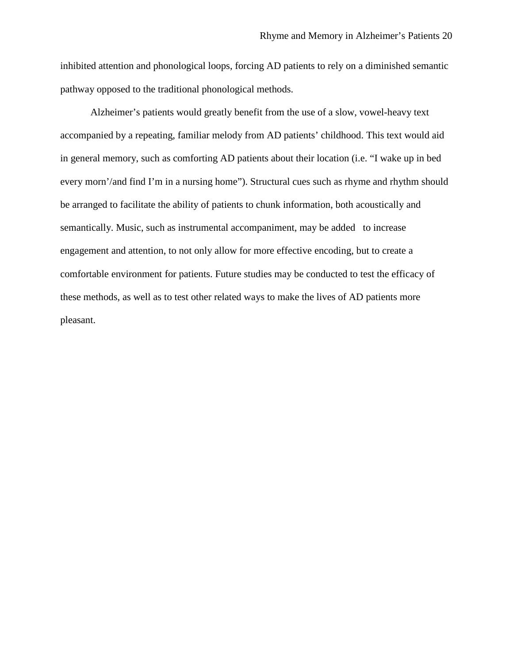inhibited attention and phonological loops, forcing AD patients to rely on a diminished semantic pathway opposed to the traditional phonological methods.

Alzheimer's patients would greatly benefit from the use of a slow, vowel-heavy text accompanied by a repeating, familiar melody from AD patients' childhood. This text would aid in general memory, such as comforting AD patients about their location (i.e. "I wake up in bed every morn'/and find I'm in a nursing home"). Structural cues such as rhyme and rhythm should be arranged to facilitate the ability of patients to chunk information, both acoustically and semantically. Music, such as instrumental accompaniment, may be added to increase engagement and attention, to not only allow for more effective encoding, but to create a comfortable environment for patients. Future studies may be conducted to test the efficacy of these methods, as well as to test other related ways to make the lives of AD patients more pleasant.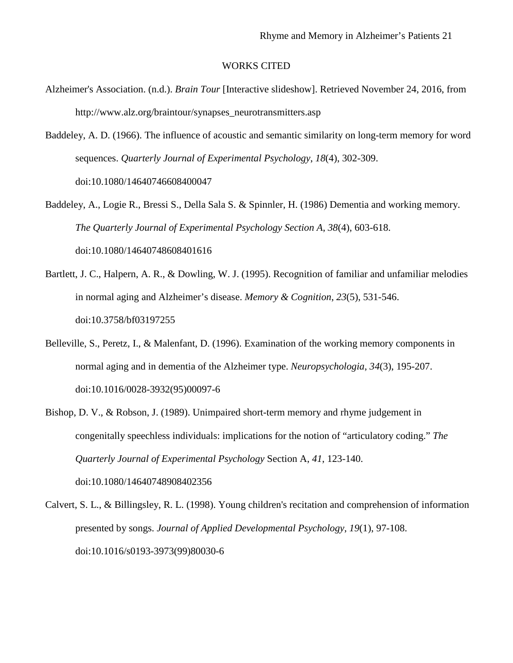## WORKS CITED

- Alzheimer's Association. (n.d.). *Brain Tour* [Interactive slideshow]. Retrieved November 24, 2016, from [http://www.alz.org/braintour/synapses\\_neurotransmitters.asp](http://www.alz.org/braintour/synapses_neurotransmitters.asp)
- Baddeley, A. D. (1966). The influence of acoustic and semantic similarity on long-term memory for word sequences. *Quarterly Journal of Experimental Psychology*, *18*(4), 302-309. doi:10.1080/14640746608400047
- Baddeley, A., Logie R., Bressi S., Della Sala S. & Spinnler, H. (1986) Dementia and working memory. *The Quarterly Journal of Experimental Psychology Section A*, *38*(4), 603-618. doi:10.1080/14640748608401616
- Bartlett, J. C., Halpern, A. R., & Dowling, W. J. (1995). Recognition of familiar and unfamiliar melodies in normal aging and Alzheimer's disease. *Memory & Cognition*, *23*(5), 531-546. doi:10.3758/bf03197255
- Belleville, S., Peretz, I., & Malenfant, D. (1996). Examination of the working memory components in normal aging and in dementia of the Alzheimer type. *Neuropsychologia*, *34*(3), 195-207. doi:10.1016/0028-3932(95)00097-6
- Bishop, D. V., & Robson, J. (1989). Unimpaired short-term memory and rhyme judgement in congenitally speechless individuals: implications for the notion of "articulatory coding." *The Quarterly Journal of Experimental Psychology* Section A, *41*, 123-140. doi:10.1080/14640748908402356
- Calvert, S. L., & Billingsley, R. L. (1998). Young children's recitation and comprehension of information presented by songs. *Journal of Applied Developmental Psychology*, *19*(1), 97-108. doi:10.1016/s0193-3973(99)80030-6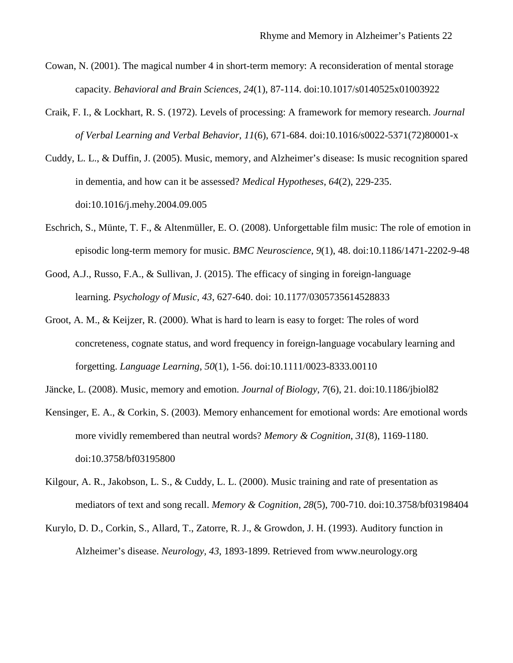- Cowan, N. (2001). The magical number 4 in short-term memory: A reconsideration of mental storage capacity. *Behavioral and Brain Sciences*, *24*(1), 87-114. doi:10.1017/s0140525x01003922
- Craik, F. I., & Lockhart, R. S. (1972). Levels of processing: A framework for memory research. *Journal of Verbal Learning and Verbal Behavior*, *11*(6), 671-684. doi:10.1016/s0022-5371(72)80001-x
- Cuddy, L. L., & Duffin, J. (2005). Music, memory, and Alzheimer's disease: Is music recognition spared in dementia, and how can it be assessed? *Medical Hypotheses*, *64*(2), 229-235. doi:10.1016/j.mehy.2004.09.005
- Eschrich, S., Münte, T. F., & Altenmüller, E. O. (2008). Unforgettable film music: The role of emotion in episodic long-term memory for music. *BMC Neuroscience*, *9*(1), 48. doi:10.1186/1471-2202-9-48
- Good, A.J., Russo, F.A., & Sullivan, J. (2015). The efficacy of singing in foreign-language learning. *Psychology of Music, 43*, 627-640. doi: 10.1177/0305735614528833
- Groot, A. M., & Keijzer, R. (2000). What is hard to learn is easy to forget: The roles of word concreteness, cognate status, and word frequency in foreign-language vocabulary learning and forgetting. *Language Learning*, *50*(1), 1-56. doi:10.1111/0023-8333.00110
- Jäncke, L. (2008). Music, memory and emotion. *Journal of Biology*, *7*(6), 21. doi:10.1186/jbiol82
- Kensinger, E. A., & Corkin, S. (2003). Memory enhancement for emotional words: Are emotional words more vividly remembered than neutral words? *Memory & Cognition*, *31*(8), 1169-1180. doi:10.3758/bf03195800
- Kilgour, A. R., Jakobson, L. S., & Cuddy, L. L. (2000). Music training and rate of presentation as mediators of text and song recall. *Memory & Cognition*, *28*(5), 700-710. doi:10.3758/bf03198404
- Kurylo, D. D., Corkin, S., Allard, T., Zatorre, R. J., & Growdon, J. H. (1993). Auditory function in Alzheimer's disease. *Neurology, 43*, 1893-1899. Retrieved from www.neurology.org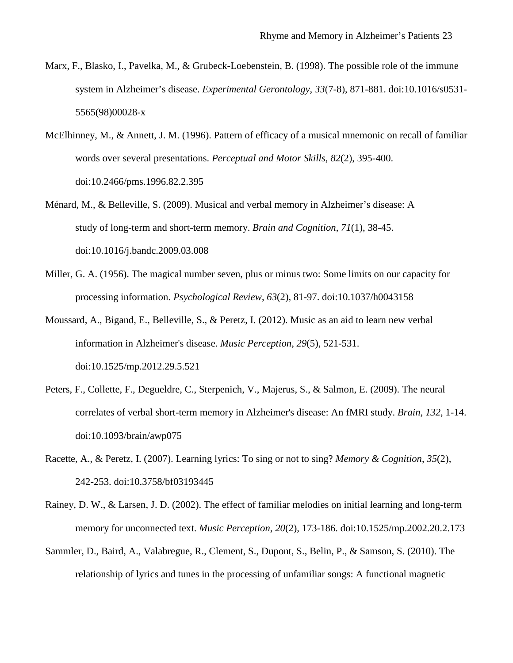- Marx, F., Blasko, I., Pavelka, M., & Grubeck-Loebenstein, B. (1998). The possible role of the immune system in Alzheimer's disease. *Experimental Gerontology*, *33*(7-8), 871-881. doi:10.1016/s0531- 5565(98)00028-x
- McElhinney, M., & Annett, J. M. (1996). Pattern of efficacy of a musical mnemonic on recall of familiar words over several presentations. *Perceptual and Motor Skills*, *82*(2), 395-400. doi:10.2466/pms.1996.82.2.395
- Ménard, M., & Belleville, S. (2009). Musical and verbal memory in Alzheimer's disease: A study of long-term and short-term memory. *Brain and Cognition*, *71*(1), 38-45. doi:10.1016/j.bandc.2009.03.008
- Miller, G. A. (1956). The magical number seven, plus or minus two: Some limits on our capacity for processing information. *Psychological Review*, *63*(2), 81-97. doi:10.1037/h0043158
- Moussard, A., Bigand, E., Belleville, S., & Peretz, I. (2012). Music as an aid to learn new verbal information in Alzheimer's disease. *Music Perception*, *29*(5), 521-531. doi:10.1525/mp.2012.29.5.521
- Peters, F., Collette, F., Degueldre, C., Sterpenich, V., Majerus, S., & Salmon, E. (2009). The neural correlates of verbal short-term memory in Alzheimer's disease: An fMRI study. *Brain, 132*, 1-14. doi:10.1093/brain/awp075
- Racette, A., & Peretz, I. (2007). Learning lyrics: To sing or not to sing? *Memory & Cognition*, *35*(2), 242-253. doi:10.3758/bf03193445
- Rainey, D. W., & Larsen, J. D. (2002). The effect of familiar melodies on initial learning and long-term memory for unconnected text. *Music Perception*, *20*(2), 173-186. doi:10.1525/mp.2002.20.2.173
- Sammler, D., Baird, A., Valabregue, R., Clement, S., Dupont, S., Belin, P., & Samson, S. (2010). The relationship of lyrics and tunes in the processing of unfamiliar songs: A functional magnetic